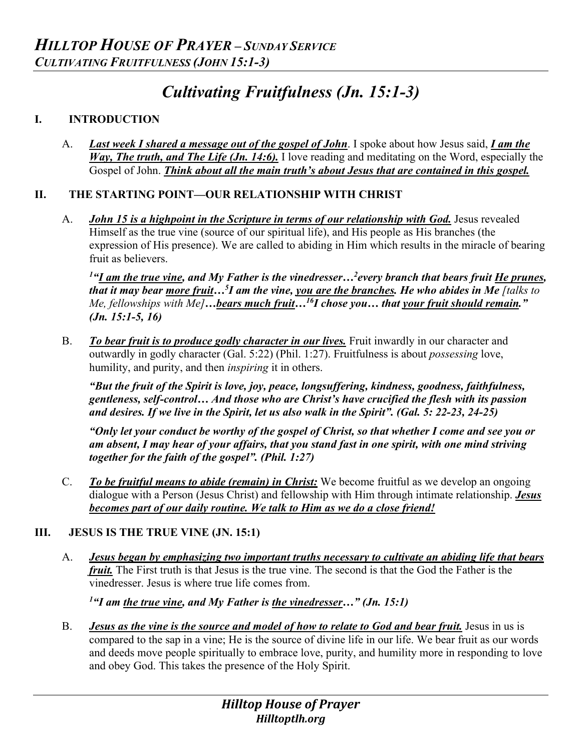# *Cultivating Fruitfulness (Jn. 15:1-3)*

# **I. INTRODUCTION**

A. *Last week I shared a message out of the gospel of John*. I spoke about how Jesus said, *I am the Way, The truth, and The Life (Jn. 14:6).* I love reading and meditating on the Word, especially the Gospel of John. *Think about all the main truth's about Jesus that are contained in this gospel.* 

### **II. THE STARTING POINT—OUR RELATIONSHIP WITH CHRIST**

A. *John 15 is a highpoint in the Scripture in terms of our relationship with God.* Jesus revealed Himself as the true vine (source of our spiritual life), and His people as His branches (the expression of His presence). We are called to abiding in Him which results in the miracle of bearing fruit as believers.

*1 "I am the true vine, and My Father is the vinedresser…2 every branch that bears fruit He prunes, that it may bear more fruit…5 I am the vine, you are the branches. He who abides in Me [talks to Me, fellowships with Me]…bears much fruit…16I chose you… that your fruit should remain." (Jn. 15:1-5, 16)* 

B. *To bear fruit is to produce godly character in our lives.* Fruit inwardly in our character and outwardly in godly character (Gal. 5:22) (Phil. 1:27). Fruitfulness is about *possessing* love, humility, and purity, and then *inspiring* it in others.

*"But the fruit of the Spirit is love, joy, peace, longsuffering, kindness, goodness, faithfulness, gentleness, self-control… And those who are Christ's have crucified the flesh with its passion and desires. If we live in the Spirit, let us also walk in the Spirit". (Gal. 5: 22-23, 24-25)*

*"Only let your conduct be worthy of the gospel of Christ, so that whether I come and see you or am absent, I may hear of your affairs, that you stand fast in one spirit, with one mind striving together for the faith of the gospel". (Phil. 1:27)*

C. *To be fruitful means to abide (remain) in Christ:* We become fruitful as we develop an ongoing dialogue with a Person (Jesus Christ) and fellowship with Him through intimate relationship. *Jesus becomes part of our daily routine. We talk to Him as we do a close friend!*

# **III. JESUS IS THE TRUE VINE (JN. 15:1)**

A. *Jesus began by emphasizing two important truths necessary to cultivate an abiding life that bears fruit.* The First truth is that Jesus is the true vine. The second is that the God the Father is the vinedresser. Jesus is where true life comes from.

*1 "I am the true vine, and My Father is the vinedresser…" (Jn. 15:1)* 

B. *Jesus as the vine is the source and model of how to relate to God and bear fruit.* Jesus in us is compared to the sap in a vine; He is the source of divine life in our life. We bear fruit as our words and deeds move people spiritually to embrace love, purity, and humility more in responding to love and obey God. This takes the presence of the Holy Spirit.